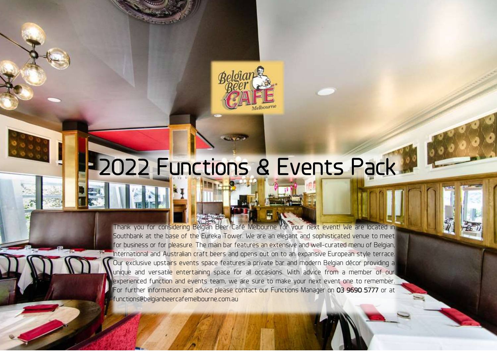

J

# 2022 Functions & Events Pack

 International and Australian craft beers and opens out on to an expansive European style terrace. Our exclusive upsta<mark>irs event</mark>s space features a private bar and modern Belgian décor providing a l experienced function and events team, we are sure to make your next event one to remember. For further information and advice please contact our Functions Manager on <mark>03 9690 5777</mark> or at<br>functions@b<mark>elgianbeercafemelbourne.com.au</mark> Thank you for considering Belgian Beer Café Melbourne for your next event! We are located in Southbank at the base of the Eureka Tower. We are an elegant and sophisticated venue to meet for business or for pleasure. The main bar features an extensive and well-curated menu of Belgian, unique and versatile entertaining space for all occasions. With advice from a member of our functions@belgianbeercafemelbourne.com.au

Belgian Beer Café Melbourne, 5 Riverside Quay, Southbank VIC 3006 – (03) 9690 5777 – [functions@belgianbeercafemelbourne.com.au](mailto:functions@belgianbeercafemelbourne.com.au)

at functions@belgianbeercafemelbourne.com.au.

prices valid until 31 January 2023 products may vary due to seasonal availabilities may vary due to seasonal a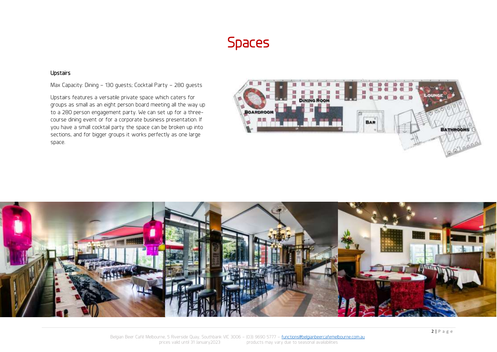# Spaces

#### Upstairs

Max Capacity: Dining – 130 guests; Cocktail Party – 280 guests

Upstairs features a versatile private space which caters for groups as small as an eight person board meeting all the way up to a 280 person engagement party. We can set up for a threecourse dining event or for a corporate business presentation. If you have a small cocktail party the space can be broken up into sections, and for bigger groups it works perfectly as one large space.



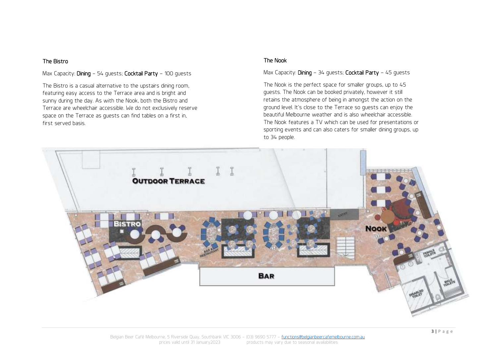#### The Bistro

#### Max Capacity: **Dining** – 54 guests; **Cocktail Party** – 100 guests

The Bistro is a casual alternative to the upstairs dining room, featuring easy access to the Terrace area and is bright and sunny during the day. As with the Nook, both the Bistro and Terrace are wheelchair accessible. We do not exclusively reserve space on the Terrace as guests can find tables on a first in, first served basis.

#### The Nook

Max Capacity: Dining – 34 guests; Cocktail Party – 45 guests

The Nook is the perfect space for smaller groups, up to 45 guests. The Nook can be booked privately, however it still retains the atmosphere of being in amongst the action on the ground level. It's close to the Terrace so guests can enjoy the beautiful Melbourne weather and is also wheelchair accessible. The Nook features a TV which can be used for presentations or sporting events and can also caters for smaller dining groups, up to 34 people.

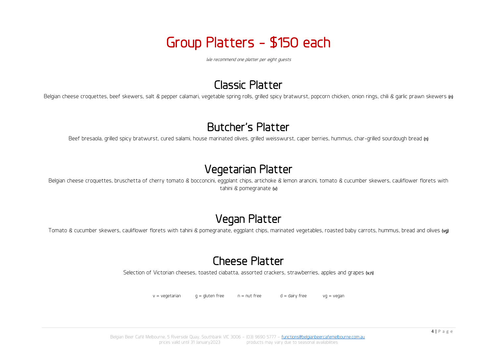# Group Platters - \$150 each

We recommend one platter per eight guests

# Classic Platter

Belgian cheese croquettes, beef skewers, salt & pepper calamari, vegetable spring rolls, grilled spicy bratwurst, popcorn chicken, onion rings, chili & garlic prawn skewers (n)

### Butcher's Platter

Beef bresaola, grilled spicy bratwurst, cured salami, house marinated olives, grilled weisswurst, caper berries, hummus, char-grilled sourdough bread (n)

# Vegetarian Platter

Belgian cheese croquettes, bruschetta of cherry tomato & bocconcini, eggplant chips, artichoke & lemon arancini, tomato & cucumber skewers, cauliflower florets with tahini & pomegranate (v)

# Vegan Platter

Tomato & cucumber skewers, cauliflower florets with tahini & pomegranate, eggplant chips, marinated vegetables, roasted baby carrots, hummus, bread and olives (vg)

# Cheese Platter

Selection of Victorian cheeses, toasted ciabatta, assorted crackers, strawberries, apples and grapes (v,n)

 $v =$  vegetarian a = gluten free and the n = nut free d = dairy free  $v = v$  vg = vegand

Belgian Beer Café Melbourne, 5 Riverside Quay, Southbank VIC 3006 – (03) 9690 5777 – [functions@belgianbeercafemelbourne.com.au](mailto:functions@belgianbeercafemelbourne.com.au) prices valid until 31 January2023 products may vary due to seasonal availabilities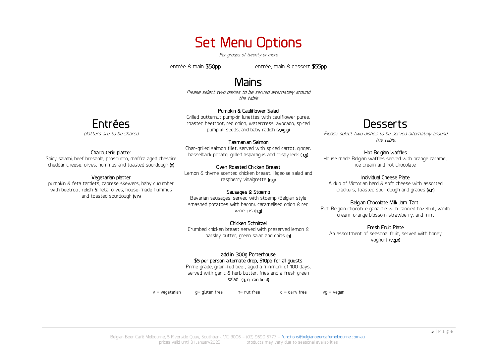# Set Menu Options

For groups of twenty or more

entrée & main \$50pp entrée, main & dessert \$55pp

### Mains

Please select two dishes to be served alternately around the table

#### Pumpkin & Cauliflower Salad

Grilled butternut pumpkin lunettes with cauliflower puree, roasted beetroot, red onion, watercress, avocado, spiced pumpkin seeds, and baby radish (v,vg,g)

#### Tasmanian Salmon

Char-grilled salmon fillet, served with spiced carrot, ginger, hasselback potato, grilled asparagus and crispy leek (n,g)

#### Oven Roasted Chicken Breast

Lemon & thyme scented chicken breast, liègeoise salad and raspberry vinaigrette (n,g)

#### Sausages & Stoemp

Bavarian sausages, served with stoemp (Belgian style smashed potatoes with bacon), caramelised onion & red wine ius **(n.a)** 

#### Chicken Schnitzel

Crumbed chicken breast served with preserved lemon & parsley butter, green salad and chips (n)

#### add in: 300g Porterhouse \$5 per person alternate drop, \$10pp for all guests

Prime grade, grain-fed beef, aged a minimum of 100 days, served with garlic & herb butter, fries and a fresh green

#### salad (g, n, can be d)

 $v = v$ egetarian a g gluten free n= nut free d = dairy free vg = vegan

### Desserts

Please select two dishes to be served alternately around the table:

#### Hot Belgian Waffles

House made Belgian waffles served with orange caramel, ice cream and hot chocolate

#### Individual Cheese Plate

A duo of Victorian hard & soft cheese with assorted crackers, toasted sour dough and grapes (v,n)

#### Belgian Chocolate Milk Jam Tart

Rich Belgian chocolate ganache with candied hazelnut, vanilla cream, orange blossom strawberry, and mint

#### Fresh Fruit Plate

An assortment of seasonal fruit, served with honey yoghurt (v,g,n)



platters are to be shared

#### Charcuterie platter

Spicy salami, beef bresaola, prosciutto, maffra aged cheshire cheddar cheese, olives, hummus and toasted sourdough (n)

#### Vegetarian platter

pumpkin & feta tartlets, caprese skewers, baby cucumber with beetroot relish & feta, olives, house-made hummus and toasted sourdough (v,n)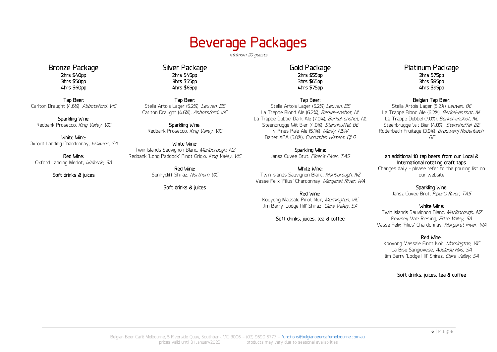# Beverage Packages

minimum 20 guests

Bronze Package 2hrs \$40pp 3hrs \$50pp 4hrs \$60pp

Tap Beer: Carlton Draught (4.6%), Abbotsford, VIC

Sparkling Wine: Redbank Prosecco, King Valley, VIC

White Wine: Oxford Landing Chardonnay, Waikerie, SA

Red Wine: Oxford Landing Merlot, Waikerie, SA

Soft drinks & juices

Silver Package 2hrs \$45pp 3hrs \$55pp 4hrs \$65pp

Tap Beer: Stella Artois Lager (5.2%), Leuven, BE Carlton Draught (4.6%), Abbotsford, VIC

Sparkling Wine: Redbank Prosecco, King Valley, VIC

White Wine: Twin Islands Sauvignon Blanc, Marlborough, NZ Redbank 'Long Paddock' Pinot Grigio, King Valley, VIC

> Red Wine: Sunnycliff Shiraz, Northern VIC

> > Soft drinks & juices

#### Gold Package 2hrs \$55pp 3hrs \$65pp 4hrs \$75pp

Tap Beer:

Stella Artois Lager (5.2%) Leuven, BE La Trappe Blond Ale (6.2%), Berkel-enshot, NL La Trappe Dubbel Dark Ale (7.0%), Berkel-enshot, NL Steenbrugge Wit Bier (4.8%), Stennhuffel, BE 4 Pines Pale Ale (5.1%), Manly, NSW Balter XPA (5.0%), Currumbin Waters, QLD

#### Sparkling Wine:

Jansz Cuvee Brut, Piper's River, TAS

White Wine: Twin Islands Sauvignon Blanc, Marlborough, NZ Vasse Felix 'Filius' Chardonnay, Margaret River, WA

Red Wine: Kooyong Massale Pinot Noir, Mornington, VIC Jim Barry 'Lodge Hill' Shiraz, Clare Valley, SA

Soft drinks, juices, tea & coffee

#### Platinum Package 2hrs \$75pp 3hrs \$85pp 4hrs \$95pp

#### Belgian Tap Beer:

Stella Artois Lager (5.2%) Leuven, BE La Trappe Blond Ale (6.2%), Berkel-enshot, NL La Trappe Dubbel (7.0%), Berkel-enshot, NL Steenbrugge Wit Bier (4.8%), Stennhuffel, BE Rodenbach Fruitage (3.9%), Brouwerij Rodenbach,  $BF$ 

#### an additional 10 tap beers from our Local & International rotating craft taps

Changes daily - please refer to the pouring list on our website

Sparkling Wine:

Jansz Cuvee Brut, Piper's River, TAS

#### White Wine:

Twin Islands Sauvignon Blanc, Marlborough, NZ Pewsey Vale Riesling, Eden Valley, SA Vasse Felix 'Filius' Chardonnay, Margaret River, WA

#### Red Wine:

Kooyong Massale Pinot Noir, Mornington, VIC La Bise Sangiovese, Adelaide Hills, SA Jim Barry 'Lodge Hill' Shiraz, Clare Valley, SA

Soft drinks, juices, tea & coffee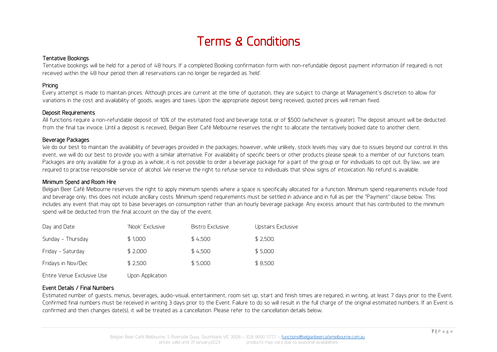# Terms & Conditions

#### Tentative Bookings

Tentative bookings will be held for a period of 48 hours. If a completed Booking confirmation form with non-refundable deposit payment information (if required) is not received within the 48 hour period then all reservations can no longer be regarded as 'held'.

#### Pricing

Every attempt is made to maintain prices. Although prices are current at the time of quotation, they are subject to change at Management's discretion to allow for variations in the cost and availability of goods, wages and taxes. Upon the appropriate deposit being received, quoted prices will remain fixed.

#### Deposit Requirements

All functions require a non-refundable deposit of 10% of the estimated food and beverage total, or of \$500 (whichever is greater). The deposit amount will be deducted from the final tax invoice. Until a deposit is received, Belgian Beer Café Melbourne reserves the right to allocate the tentatively booked date to another client.

#### Beverage Packages

We do our best to maintain the availability of beverages provided in the packages; however, while unlikely, stock levels may vary due to issues beyond our control. In this event, we will do our best to provide you with a similar alternative. For availability of specific beers or other products please speak to a member of our functions team. Packages are only available for a group as a whole, it is not possible to order a beverage package for a part of the group or for individuals to opt out. By law, we are required to practise responsible service of alcohol. We reserve the right to refuse service to individuals that show signs of intoxication. No refund is available.

#### Minimum Spend and Room Hire

Belgian Beer Café Melbourne reserves the right to apply minimum spends where a space is specifically allocated for a function. Minimum spend requirements include food and beverage only; this does not include ancillary costs. Minimum spend requirements must be settled in advance and in full as per the "Payment" clause below. This includes any event that may opt to base beverages on consumption rather than an hourly beverage package. Any excess amount that has contributed to the minimum spend will be deducted from the final account on the day of the event.

| Day and Date               | 'Nook' Exclusive | Bistro Exclusive | Upstairs Exclusive |
|----------------------------|------------------|------------------|--------------------|
| Sunday - Thursday          | \$1,000          | \$4.500          | \$2.500.           |
| Friday - Saturday          | \$2,000          | \$4.500          | \$5,000            |
| Fridays in Nov/Dec         | \$2.500          | \$5,000          | \$8.500            |
| Entire Venue Exclusive Use | Upon Application |                  |                    |

#### Event Details / Final Numbers

Estimated number of guests, menus, beverages, audio-visual, entertainment, room set up, start and finish times are required, in writing, at least 7 days prior to the Event. Confirmed final numbers must be received in writing 3 days prior to the Event. Failure to do so will result in the full charge of the original estimated numbers. If an Event is confirmed and then changes date(s), it will be treated as a cancellation. Please refer to the cancellation details below.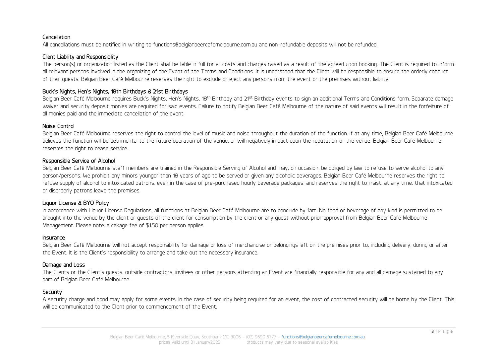#### Cancellation

All cancellations must be notified in writing to functions@belgianbeercafemelbourne.com.au and non-refundable deposits will not be refunded.

#### Client Liability and Responsibility

The person(s) or organization listed as the Client shall be liable in full for all costs and charges raised as a result of the agreed upon booking. The Client is required to inform all relevant persons involved in the organizing of the Event of the Terms and Conditions. It is understood that the Client will be responsible to ensure the orderly conduct of their guests. Belgian Beer Café Melbourne reserves the right to exclude or eject any persons from the event or the premises without liability.

#### Buck's Nights, Hen's Nights, 18th Birthdays & 21st Birthdays

Belgian Beer Café Melbourne requires Buck's Nights, Hen's Nights, 18<sup>th</sup> Birthday and 21<sup>st</sup> Birthday events to sign an additional Terms and Conditions form. Separate damage waiver and security deposit monies are required for said events. Failure to notify Belgian Beer Café Melbourne of the nature of said events will result in the forfeiture of all monies paid and the immediate cancellation of the event.

#### Noise Control

Belgian Beer Café Melbourne reserves the right to control the level of music and noise throughout the duration of the function. If at any time, Belgian Beer Café Melbourne believes the function will be detrimental to the future operation of the venue, or will negatively impact upon the reputation of the venue, Belgian Beer Café Melbourne reserves the right to cease service.

#### Responsible Service of Alcohol

Belgian Beer Café Melbourne staff members are trained in the Responsible Serving of Alcohol and may, on occasion, be obliged by law to refuse to serve alcohol to any person/persons. We prohibit any minors younger than 18 years of age to be served or given any alcoholic beverages. Belgian Beer Café Melbourne reserves the right to refuse supply of alcohol to intoxicated patrons, even in the case of pre-purchased hourly beverage packages, and reserves the right to insist, at any time, that intoxicated or disorderly patrons leave the premises.

#### Liquor License & BYO Policy

In accordance with Liquor License Regulations, all functions at Belgian Beer Café Melbourne are to conclude by 1am. No food or beverage of any kind is permitted to be brought into the venue by the client or guests of the client for consumption by the client or any guest without prior approval from Belgian Beer Café Melbourne Management. Please note: a cakage fee of \$1.50 per person applies.

#### Insurance

Belgian Beer Café Melbourne will not accept responsibility for damage or loss of merchandise or belongings left on the premises prior to, including delivery, during or after the Event. It is the Client's responsibility to arrange and take out the necessary insurance.

#### Damage and Loss

The Clients or the Client's guests, outside contractors, invitees or other persons attending an Event are financially responsible for any and all damage sustained to any part of Belgian Beer Café Melbourne.

#### **Security**

A security charge and bond may apply for some events. In the case of security being required for an event, the cost of contracted security will be borne by the Client. This will be communicated to the Client prior to commencement of the Event.